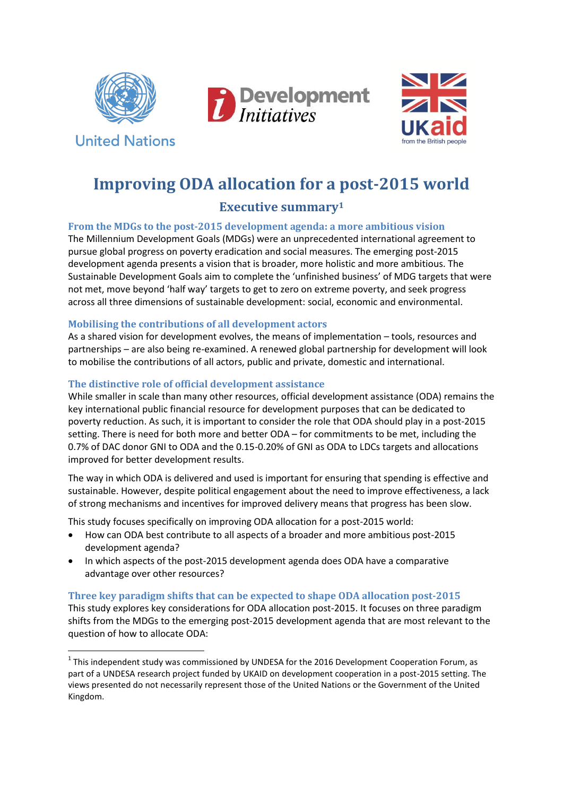

**United Nations** 

 $\overline{a}$ 





# **Improving ODA allocation for a post-2015 world**

## **Executive summary<sup>1</sup>**

#### **From the MDGs to the post-2015 development agenda: a more ambitious vision**

The Millennium Development Goals (MDGs) were an unprecedented international agreement to pursue global progress on poverty eradication and social measures. The emerging post-2015 development agenda presents a vision that is broader, more holistic and more ambitious. The Sustainable Development Goals aim to complete the 'unfinished business' of MDG targets that were not met, move beyond 'half way' targets to get to zero on extreme poverty, and seek progress across all three dimensions of sustainable development: social, economic and environmental.

#### **Mobilising the contributions of all development actors**

As a shared vision for development evolves, the means of implementation – tools, resources and partnerships – are also being re-examined. A renewed global partnership for development will look to mobilise the contributions of all actors, public and private, domestic and international.

#### **The distinctive role of official development assistance**

While smaller in scale than many other resources, official development assistance (ODA) remains the key international public financial resource for development purposes that can be dedicated to poverty reduction. As such, it is important to consider the role that ODA should play in a post-2015 setting. There is need for both more and better ODA – for commitments to be met, including the 0.7% of DAC donor GNI to ODA and the 0.15-0.20% of GNI as ODA to LDCs targets and allocations improved for better development results.

The way in which ODA is delivered and used is important for ensuring that spending is effective and sustainable. However, despite political engagement about the need to improve effectiveness, a lack of strong mechanisms and incentives for improved delivery means that progress has been slow.

This study focuses specifically on improving ODA allocation for a post-2015 world:

- How can ODA best contribute to all aspects of a broader and more ambitious post-2015 development agenda?
- In which aspects of the post-2015 development agenda does ODA have a comparative advantage over other resources?

### **Three key paradigm shifts that can be expected to shape ODA allocation post-2015**

This study explores key considerations for ODA allocation post-2015. It focuses on three paradigm shifts from the MDGs to the emerging post-2015 development agenda that are most relevant to the question of how to allocate ODA:

 $<sup>1</sup>$  This independent study was commissioned by UNDESA for the 2016 Development Cooperation Forum, as</sup> part of a UNDESA research project funded by UKAID on development cooperation in a post-2015 setting. The views presented do not necessarily represent those of the United Nations or the Government of the United Kingdom.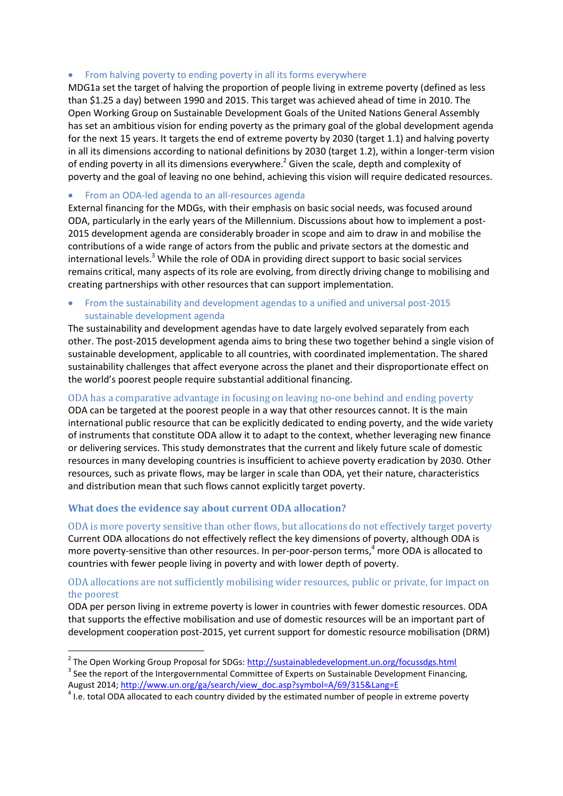#### • From halving poverty to ending poverty in all its forms everywhere

MDG1a set the target of halving the proportion of people living in extreme poverty (defined as less than \$1.25 a day) between 1990 and 2015. This target was achieved ahead of time in 2010. The Open Working Group on Sustainable Development Goals of the United Nations General Assembly has set an ambitious vision for ending poverty as the primary goal of the global development agenda for the next 15 years. It targets the end of extreme poverty by 2030 (target 1.1) and halving poverty in all its dimensions according to national definitions by 2030 (target 1.2), within a longer-term vision of ending poverty in all its dimensions everywhere.<sup>2</sup> Given the scale, depth and complexity of poverty and the goal of leaving no one behind, achieving this vision will require dedicated resources.

#### From an ODA-led agenda to an all-resources agenda

External financing for the MDGs, with their emphasis on basic social needs, was focused around ODA, particularly in the early years of the Millennium. Discussions about how to implement a post-2015 development agenda are considerably broader in scope and aim to draw in and mobilise the contributions of a wide range of actors from the public and private sectors at the domestic and international levels.<sup>3</sup> While the role of ODA in providing direct support to basic social services remains critical, many aspects of its role are evolving, from directly driving change to mobilising and creating partnerships with other resources that can support implementation.

#### From the sustainability and development agendas to a unified and universal post-2015 sustainable development agenda

The sustainability and development agendas have to date largely evolved separately from each other. The post-2015 development agenda aims to bring these two together behind a single vision of sustainable development, applicable to all countries, with coordinated implementation. The shared sustainability challenges that affect everyone across the planet and their disproportionate effect on the world's poorest people require substantial additional financing.

ODA has a comparative advantage in focusing on leaving no-one behind and ending poverty ODA can be targeted at the poorest people in a way that other resources cannot. It is the main international public resource that can be explicitly dedicated to ending poverty, and the wide variety of instruments that constitute ODA allow it to adapt to the context, whether leveraging new finance or delivering services. This study demonstrates that the current and likely future scale of domestic resources in many developing countries is insufficient to achieve poverty eradication by 2030. Other resources, such as private flows, may be larger in scale than ODA, yet their nature, characteristics and distribution mean that such flows cannot explicitly target poverty.

#### **What does the evidence say about current ODA allocation?**

ODA is more poverty sensitive than other flows, but allocations do not effectively target poverty Current ODA allocations do not effectively reflect the key dimensions of poverty, although ODA is more poverty-sensitive than other resources. In per-poor-person terms, <sup>4</sup> more ODA is allocated to countries with fewer people living in poverty and with lower depth of poverty.

#### ODA allocations are not sufficiently mobilising wider resources, public or private, for impact on the poorest

ODA per person living in extreme poverty is lower in countries with fewer domestic resources. ODA that supports the effective mobilisation and use of domestic resources will be an important part of development cooperation post-2015, yet current support for domestic resource mobilisation (DRM)

 2 The Open Working Group Proposal for SDGs[: http://sustainabledevelopment.un.org/focussdgs.html](http://sustainabledevelopment.un.org/focussdgs.html)

 $3$  See the report of the Intergovernmental Committee of Experts on Sustainable Development Financing, August 2014[; http://www.un.org/ga/search/view\\_doc.asp?symbol=A/69/315&Lang=E](http://www.un.org/ga/search/view_doc.asp?symbol=A/69/315&Lang=E)

 $<sup>4</sup>$  I.e. total ODA allocated to each country divided by the estimated number of people in extreme poverty</sup>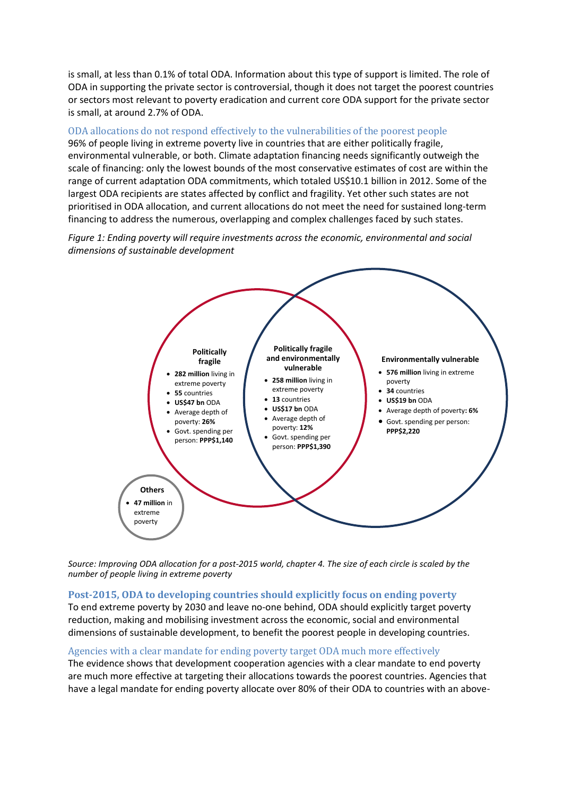is small, at less than 0.1% of total ODA. Information about this type of support is limited. The role of ODA in supporting the private sector is controversial, though it does not target the poorest countries or sectors most relevant to poverty eradication and current core ODA support for the private sector is small, at around 2.7% of ODA.

### ODA allocations do not respond effectively to the vulnerabilities of the poorest people

96% of people living in extreme poverty live in countries that are either politically fragile, environmental vulnerable, or both. Climate adaptation financing needs significantly outweigh the scale of financing: only the lowest bounds of the most conservative estimates of cost are within the range of current adaptation ODA commitments, which totaled US\$10.1 billion in 2012. Some of the largest ODA recipients are states affected by conflict and fragility. Yet other such states are not prioritised in ODA allocation, and current allocations do not meet the need for sustained long-term financing to address the numerous, overlapping and complex challenges faced by such states.

*Figure 1: Ending poverty will require investments across the economic, environmental and social dimensions of sustainable development*



*Source: Improving ODA allocation for a post-2015 world, chapter 4. The size of each circle is scaled by the number of people living in extreme poverty*

#### **Post-2015, ODA to developing countries should explicitly focus on ending poverty**

To end extreme poverty by 2030 and leave no-one behind, ODA should explicitly target poverty reduction, making and mobilising investment across the economic, social and environmental dimensions of sustainable development, to benefit the poorest people in developing countries.

#### Agencies with a clear mandate for ending poverty target ODA much more effectively

The evidence shows that development cooperation agencies with a clear mandate to end poverty are much more effective at targeting their allocations towards the poorest countries. Agencies that have a legal mandate for ending poverty allocate over 80% of their ODA to countries with an above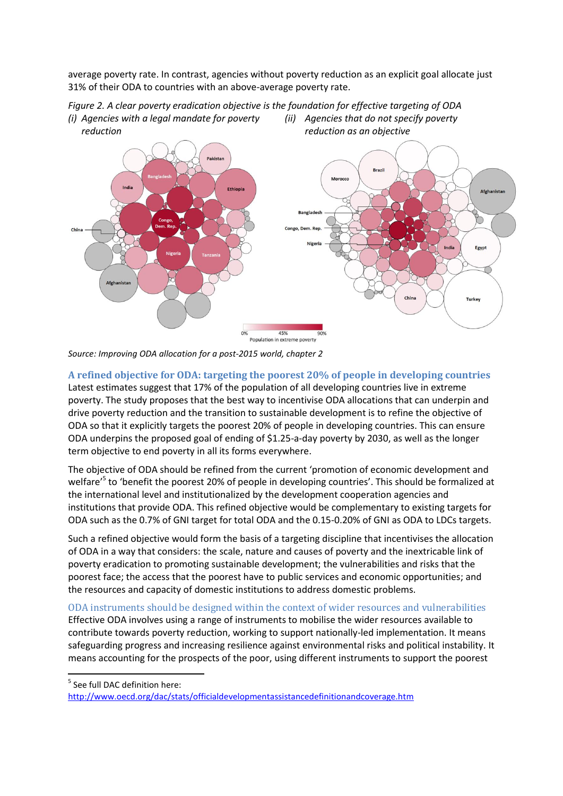average poverty rate. In contrast, agencies without poverty reduction as an explicit goal allocate just 31% of their ODA to countries with an above-average poverty rate.





*Source: Improving ODA allocation for a post-2015 world, chapter 2*

## **A refined objective for ODA: targeting the poorest 20% of people in developing countries**

Latest estimates suggest that 17% of the population of all developing countries live in extreme poverty. The study proposes that the best way to incentivise ODA allocations that can underpin and drive poverty reduction and the transition to sustainable development is to refine the objective of ODA so that it explicitly targets the poorest 20% of people in developing countries. This can ensure ODA underpins the proposed goal of ending of \$1.25-a-day poverty by 2030, as well as the longer term objective to end poverty in all its forms everywhere.

The objective of ODA should be refined from the current 'promotion of economic development and welfare<sup>'5</sup> to 'benefit the poorest 20% of people in developing countries'. This should be formalized at the international level and institutionalized by the development cooperation agencies and institutions that provide ODA. This refined objective would be complementary to existing targets for ODA such as the 0.7% of GNI target for total ODA and the 0.15-0.20% of GNI as ODA to LDCs targets.

Such a refined objective would form the basis of a targeting discipline that incentivises the allocation of ODA in a way that considers: the scale, nature and causes of poverty and the inextricable link of poverty eradication to promoting sustainable development; the vulnerabilities and risks that the poorest face; the access that the poorest have to public services and economic opportunities; and the resources and capacity of domestic institutions to address domestic problems.

ODA instruments should be designed within the context of wider resources and vulnerabilities Effective ODA involves using a range of instruments to mobilise the wider resources available to contribute towards poverty reduction, working to support nationally-led implementation. It means safeguarding progress and increasing resilience against environmental risks and political instability. It means accounting for the prospects of the poor, using different instruments to support the poorest

1

<sup>&</sup>lt;sup>5</sup> See full DAC definition here:

<http://www.oecd.org/dac/stats/officialdevelopmentassistancedefinitionandcoverage.htm>